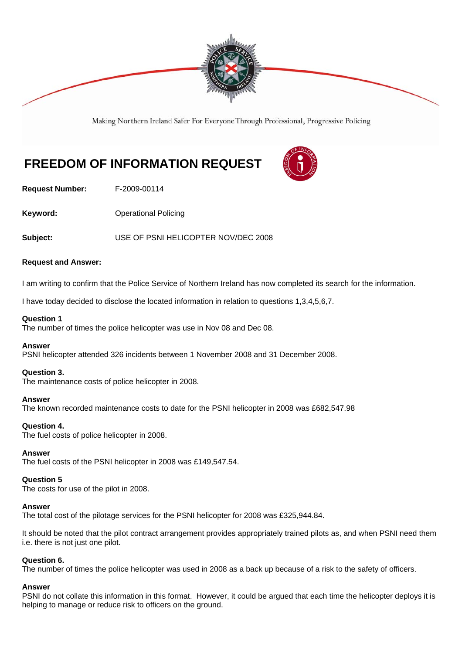

Making Northern Ireland Safer For Everyone Through Professional, Progressive Policing

# **FREEDOM OF INFORMATION REQUEST**



**Request Number:** F-2009-00114

**Keyword: Conservery Operational Policing** 

**Subject:** USE OF PSNI HELICOPTER NOV/DEC 2008

# **Request and Answer:**

I am writing to confirm that the Police Service of Northern Ireland has now completed its search for the information.

I have today decided to disclose the located information in relation to questions 1,3,4,5,6,7.

# **Question 1**

The number of times the police helicopter was use in Nov 08 and Dec 08.

# **Answer**

PSNI helicopter attended 326 incidents between 1 November 2008 and 31 December 2008.

# **Question 3.**

The maintenance costs of police helicopter in 2008.

#### **Answer**

The known recorded maintenance costs to date for the PSNI helicopter in 2008 was £682,547.98

# **Question 4.**

The fuel costs of police helicopter in 2008.

#### **Answer**

The fuel costs of the PSNI helicopter in 2008 was £149,547.54.

#### **Question 5**

The costs for use of the pilot in 2008.

#### **Answer**

The total cost of the pilotage services for the PSNI helicopter for 2008 was £325,944.84.

It should be noted that the pilot contract arrangement provides appropriately trained pilots as, and when PSNI need them i.e. there is not just one pilot.

#### **Question 6.**

The number of times the police helicopter was used in 2008 as a back up because of a risk to the safety of officers.

# **Answer**

PSNI do not collate this information in this format. However, it could be argued that each time the helicopter deploys it is helping to manage or reduce risk to officers on the ground.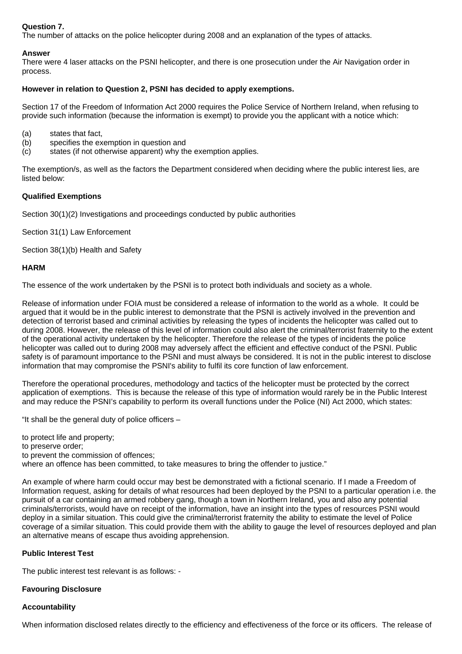# **Question 7.**

The number of attacks on the police helicopter during 2008 and an explanation of the types of attacks.

# **Answer**

There were 4 laser attacks on the PSNI helicopter, and there is one prosecution under the Air Navigation order in process.

#### **However in relation to Question 2, PSNI has decided to apply exemptions.**

Section 17 of the Freedom of Information Act 2000 requires the Police Service of Northern Ireland, when refusing to provide such information (because the information is exempt) to provide you the applicant with a notice which:

- (a) states that fact,
- (b) specifies the exemption in question and
- (c) states (if not otherwise apparent) why the exemption applies.

The exemption/s, as well as the factors the Department considered when deciding where the public interest lies, are listed below:

# **Qualified Exemptions**

Section 30(1)(2) Investigations and proceedings conducted by public authorities

Section 31(1) Law Enforcement

Section 38(1)(b) Health and Safety

#### **HARM**

The essence of the work undertaken by the PSNI is to protect both individuals and society as a whole.

Release of information under FOIA must be considered a release of information to the world as a whole. It could be argued that it would be in the public interest to demonstrate that the PSNI is actively involved in the prevention and detection of terrorist based and criminal activities by releasing the types of incidents the helicopter was called out to during 2008. However, the release of this level of information could also alert the criminal/terrorist fraternity to the extent of the operational activity undertaken by the helicopter. Therefore the release of the types of incidents the police helicopter was called out to during 2008 may adversely affect the efficient and effective conduct of the PSNI. Public safety is of paramount importance to the PSNI and must always be considered. It is not in the public interest to disclose information that may compromise the PSNI's ability to fulfil its core function of law enforcement.

Therefore the operational procedures, methodology and tactics of the helicopter must be protected by the correct application of exemptions. This is because the release of this type of information would rarely be in the Public Interest and may reduce the PSNI's capability to perform its overall functions under the Police (NI) Act 2000, which states:

"It shall be the general duty of police officers –

to protect life and property; to preserve order; to prevent the commission of offences; where an offence has been committed, to take measures to bring the offender to justice."

An example of where harm could occur may best be demonstrated with a fictional scenario. If I made a Freedom of Information request, asking for details of what resources had been deployed by the PSNI to a particular operation i.e. the pursuit of a car containing an armed robbery gang, though a town in Northern Ireland, you and also any potential criminals/terrorists, would have on receipt of the information, have an insight into the types of resources PSNI would deploy in a similar situation. This could give the criminal/terrorist fraternity the ability to estimate the level of Police coverage of a similar situation. This could provide them with the ability to gauge the level of resources deployed and plan an alternative means of escape thus avoiding apprehension.

# **Public Interest Test**

The public interest test relevant is as follows: -

# **Favouring Disclosure**

#### **Accountability**

When information disclosed relates directly to the efficiency and effectiveness of the force or its officers. The release of